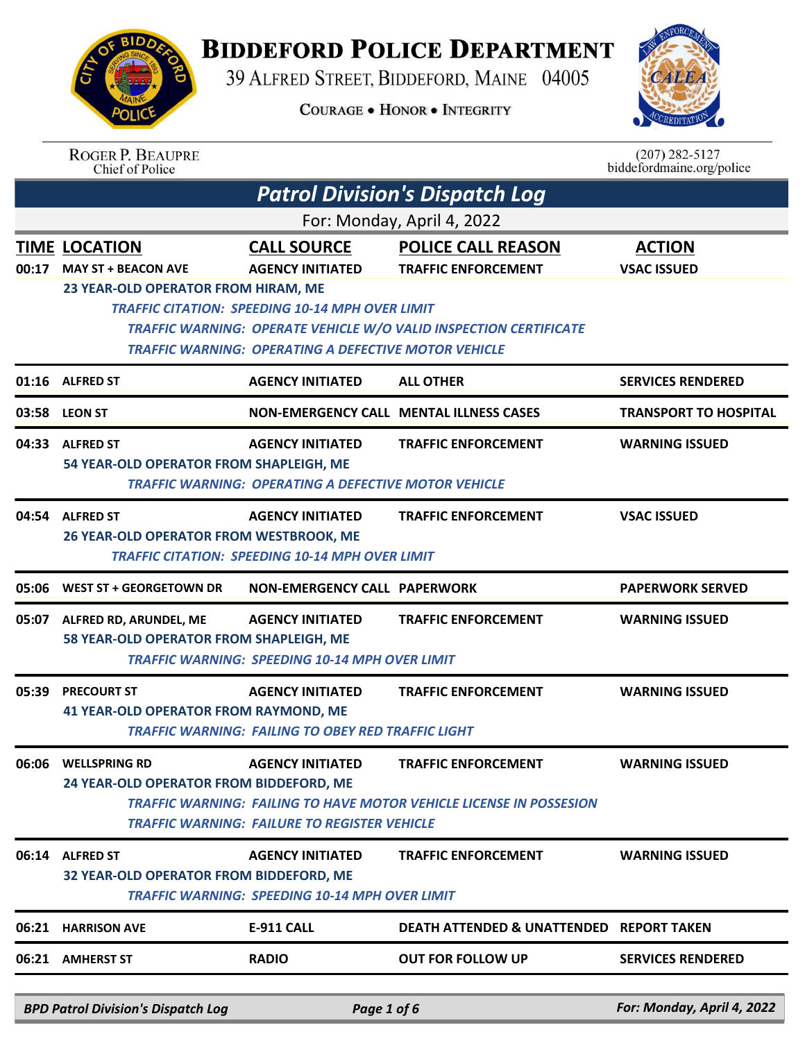

## **BIDDEFORD POLICE DEPARTMENT**

39 ALFRED STREET, BIDDEFORD, MAINE 04005

**COURAGE . HONOR . INTEGRITY** 



|       | <b>ROGER P. BEAUPRE</b><br>Chief of Police                                                                     |                                                             |                                                                          | $(207)$ 282-5127<br>biddefordmaine.org/police |
|-------|----------------------------------------------------------------------------------------------------------------|-------------------------------------------------------------|--------------------------------------------------------------------------|-----------------------------------------------|
|       |                                                                                                                |                                                             | <b>Patrol Division's Dispatch Log</b>                                    |                                               |
|       |                                                                                                                |                                                             | For: Monday, April 4, 2022                                               |                                               |
|       | <b>TIME LOCATION</b>                                                                                           | <b>CALL SOURCE</b>                                          | <b>POLICE CALL REASON</b>                                                | <b>ACTION</b>                                 |
| 00:17 | <b>MAY ST + BEACON AVE</b>                                                                                     | <b>AGENCY INITIATED</b>                                     | <b>TRAFFIC ENFORCEMENT</b>                                               | <b>VSAC ISSUED</b>                            |
|       | 23 YEAR-OLD OPERATOR FROM HIRAM, ME                                                                            | <b>TRAFFIC CITATION: SPEEDING 10-14 MPH OVER LIMIT</b>      |                                                                          |                                               |
|       |                                                                                                                |                                                             | <b>TRAFFIC WARNING: OPERATE VEHICLE W/O VALID INSPECTION CERTIFICATE</b> |                                               |
|       |                                                                                                                | <b>TRAFFIC WARNING: OPERATING A DEFECTIVE MOTOR VEHICLE</b> |                                                                          |                                               |
| 01:16 | <b>ALFRED ST</b>                                                                                               | <b>AGENCY INITIATED</b>                                     | <b>ALL OTHER</b>                                                         | <b>SERVICES RENDERED</b>                      |
| 03:58 | <b>LEON ST</b>                                                                                                 |                                                             | <b>NON-EMERGENCY CALL MENTAL ILLNESS CASES</b>                           | <b>TRANSPORT TO HOSPITAL</b>                  |
|       | 04:33 ALFRED ST                                                                                                | <b>AGENCY INITIATED</b>                                     | <b>TRAFFIC ENFORCEMENT</b>                                               | <b>WARNING ISSUED</b>                         |
|       | 54 YEAR-OLD OPERATOR FROM SHAPLEIGH, ME<br><b>TRAFFIC WARNING: OPERATING A DEFECTIVE MOTOR VEHICLE</b>         |                                                             |                                                                          |                                               |
| 04:54 | <b>ALFRED ST</b>                                                                                               | <b>AGENCY INITIATED</b>                                     | <b>TRAFFIC ENFORCEMENT</b>                                               | <b>VSAC ISSUED</b>                            |
|       | 26 YEAR-OLD OPERATOR FROM WESTBROOK, ME                                                                        |                                                             |                                                                          |                                               |
|       |                                                                                                                | <b>TRAFFIC CITATION: SPEEDING 10-14 MPH OVER LIMIT</b>      |                                                                          |                                               |
| 05:06 | <b>WEST ST + GEORGETOWN DR</b>                                                                                 | <b>NON-EMERGENCY CALL PAPERWORK</b>                         |                                                                          | <b>PAPERWORK SERVED</b>                       |
| 05:07 | ALFRED RD, ARUNDEL, ME                                                                                         | <b>AGENCY INITIATED</b>                                     | <b>TRAFFIC ENFORCEMENT</b>                                               | <b>WARNING ISSUED</b>                         |
|       | 58 YEAR-OLD OPERATOR FROM SHAPLEIGH, ME                                                                        | <b>TRAFFIC WARNING: SPEEDING 10-14 MPH OVER LIMIT</b>       |                                                                          |                                               |
| 05:39 | <b>PRECOURT ST</b>                                                                                             | <b>AGENCY INITIATED</b>                                     | <b>TRAFFIC ENFORCEMENT</b>                                               | <b>WARNING ISSUED</b>                         |
|       | <b>41 YEAR-OLD OPERATOR FROM RAYMOND, ME</b>                                                                   |                                                             |                                                                          |                                               |
|       |                                                                                                                | <b>TRAFFIC WARNING: FAILING TO OBEY RED TRAFFIC LIGHT</b>   |                                                                          |                                               |
| 06:06 | <b>WELLSPRING RD</b>                                                                                           | <b>AGENCY INITIATED</b>                                     | <b>TRAFFIC ENFORCEMENT</b>                                               | <b>WARNING ISSUED</b>                         |
|       | 24 YEAR-OLD OPERATOR FROM BIDDEFORD, ME<br>TRAFFIC WARNING: FAILING TO HAVE MOTOR VEHICLE LICENSE IN POSSESION |                                                             |                                                                          |                                               |
|       |                                                                                                                | <b>TRAFFIC WARNING: FAILURE TO REGISTER VEHICLE</b>         |                                                                          |                                               |
| 06:14 | <b>ALFRED ST</b>                                                                                               | <b>AGENCY INITIATED</b>                                     | <b>TRAFFIC ENFORCEMENT</b>                                               | <b>WARNING ISSUED</b>                         |
|       | 32 YEAR-OLD OPERATOR FROM BIDDEFORD, ME<br><b>TRAFFIC WARNING: SPEEDING 10-14 MPH OVER LIMIT</b>               |                                                             |                                                                          |                                               |
| 06:21 | <b>HARRISON AVE</b>                                                                                            | <b>E-911 CALL</b>                                           | <b>DEATH ATTENDED &amp; UNATTENDED REPORT TAKEN</b>                      |                                               |
| 06:21 | <b>AMHERST ST</b>                                                                                              | <b>RADIO</b>                                                | <b>OUT FOR FOLLOW UP</b>                                                 | <b>SERVICES RENDERED</b>                      |
|       |                                                                                                                |                                                             |                                                                          |                                               |
|       | <b>BPD Patrol Division's Dispatch Log</b>                                                                      | Page 1 of 6                                                 |                                                                          | For: Monday, April 4, 2022                    |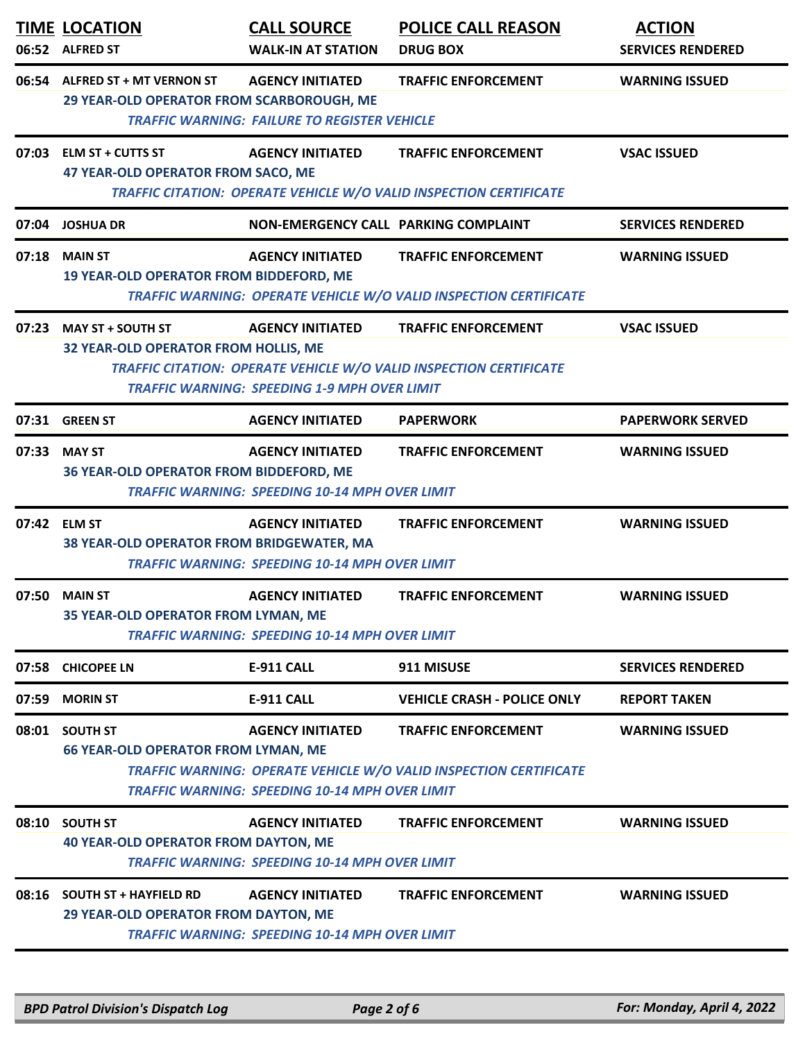|       | <b>TIME LOCATION</b><br>06:52 ALFRED ST                                                                                                                                                                                                                                      | <b>CALL SOURCE</b><br><b>WALK-IN AT STATION</b>                                  | <b>POLICE CALL REASON</b><br><b>DRUG BOX</b>                                                     | <b>ACTION</b><br><b>SERVICES RENDERED</b> |
|-------|------------------------------------------------------------------------------------------------------------------------------------------------------------------------------------------------------------------------------------------------------------------------------|----------------------------------------------------------------------------------|--------------------------------------------------------------------------------------------------|-------------------------------------------|
|       | 06:54 ALFRED ST + MT VERNON ST<br>29 YEAR-OLD OPERATOR FROM SCARBOROUGH, ME                                                                                                                                                                                                  | <b>AGENCY INITIATED</b><br><b>TRAFFIC WARNING: FAILURE TO REGISTER VEHICLE</b>   | <b>TRAFFIC ENFORCEMENT</b>                                                                       | <b>WARNING ISSUED</b>                     |
|       | 07:03 ELM ST + CUTTS ST<br>47 YEAR-OLD OPERATOR FROM SACO, ME                                                                                                                                                                                                                | <b>AGENCY INITIATED</b>                                                          | <b>TRAFFIC ENFORCEMENT</b><br>TRAFFIC CITATION: OPERATE VEHICLE W/O VALID INSPECTION CERTIFICATE | <b>VSAC ISSUED</b>                        |
| 07:04 | <b>JOSHUA DR</b>                                                                                                                                                                                                                                                             | NON-EMERGENCY CALL PARKING COMPLAINT                                             |                                                                                                  | <b>SERVICES RENDERED</b>                  |
| 07:18 | <b>MAIN ST</b><br>19 YEAR-OLD OPERATOR FROM BIDDEFORD, ME                                                                                                                                                                                                                    | <b>AGENCY INITIATED</b>                                                          | <b>TRAFFIC ENFORCEMENT</b><br>TRAFFIC WARNING: OPERATE VEHICLE W/O VALID INSPECTION CERTIFICATE  | <b>WARNING ISSUED</b>                     |
|       | 07:23 MAY ST + SOUTH ST<br>32 YEAR-OLD OPERATOR FROM HOLLIS, ME                                                                                                                                                                                                              | <b>AGENCY INITIATED</b><br><b>TRAFFIC WARNING: SPEEDING 1-9 MPH OVER LIMIT</b>   | <b>TRAFFIC ENFORCEMENT</b><br>TRAFFIC CITATION: OPERATE VEHICLE W/O VALID INSPECTION CERTIFICATE | <b>VSAC ISSUED</b>                        |
|       | 07:31 GREEN ST                                                                                                                                                                                                                                                               | <b>AGENCY INITIATED</b>                                                          | <b>PAPERWORK</b>                                                                                 | <b>PAPERWORK SERVED</b>                   |
| 07:33 | <b>MAY ST</b><br>36 YEAR-OLD OPERATOR FROM BIDDEFORD, ME                                                                                                                                                                                                                     | <b>AGENCY INITIATED</b><br><b>TRAFFIC WARNING: SPEEDING 10-14 MPH OVER LIMIT</b> | <b>TRAFFIC ENFORCEMENT</b>                                                                       | <b>WARNING ISSUED</b>                     |
| 07:42 | <b>ELM ST</b><br>38 YEAR-OLD OPERATOR FROM BRIDGEWATER, MA                                                                                                                                                                                                                   | <b>AGENCY INITIATED</b><br><b>TRAFFIC WARNING: SPEEDING 10-14 MPH OVER LIMIT</b> | <b>TRAFFIC ENFORCEMENT</b>                                                                       | <b>WARNING ISSUED</b>                     |
| 07:50 | <b>MAIN ST</b><br>35 YEAR-OLD OPERATOR FROM LYMAN, ME                                                                                                                                                                                                                        | <b>AGENCY INITIATED</b><br><b>TRAFFIC WARNING: SPEEDING 10-14 MPH OVER LIMIT</b> | <b>TRAFFIC ENFORCEMENT</b>                                                                       | <b>WARNING ISSUED</b>                     |
|       | 07:58 CHICOPEE LN                                                                                                                                                                                                                                                            | <b>E-911 CALL</b>                                                                | 911 MISUSE                                                                                       | <b>SERVICES RENDERED</b>                  |
| 07:59 | <b>MORIN ST</b>                                                                                                                                                                                                                                                              | <b>E-911 CALL</b>                                                                | <b>VEHICLE CRASH - POLICE ONLY</b>                                                               | <b>REPORT TAKEN</b>                       |
|       | 08:01 SOUTH ST<br><b>AGENCY INITIATED</b><br><b>TRAFFIC ENFORCEMENT</b><br><b>WARNING ISSUED</b><br><b>66 YEAR-OLD OPERATOR FROM LYMAN, ME</b><br>TRAFFIC WARNING: OPERATE VEHICLE W/O VALID INSPECTION CERTIFICATE<br><b>TRAFFIC WARNING: SPEEDING 10-14 MPH OVER LIMIT</b> |                                                                                  |                                                                                                  |                                           |
|       | 08:10 SOUTH ST<br><b>40 YEAR-OLD OPERATOR FROM DAYTON, ME</b>                                                                                                                                                                                                                | <b>AGENCY INITIATED</b><br><b>TRAFFIC WARNING: SPEEDING 10-14 MPH OVER LIMIT</b> | <b>TRAFFIC ENFORCEMENT</b>                                                                       | <b>WARNING ISSUED</b>                     |
|       | 08:16 SOUTH ST + HAYFIELD RD<br>29 YEAR-OLD OPERATOR FROM DAYTON, ME                                                                                                                                                                                                         | <b>AGENCY INITIATED</b><br><b>TRAFFIC WARNING: SPEEDING 10-14 MPH OVER LIMIT</b> | <b>TRAFFIC ENFORCEMENT</b>                                                                       | <b>WARNING ISSUED</b>                     |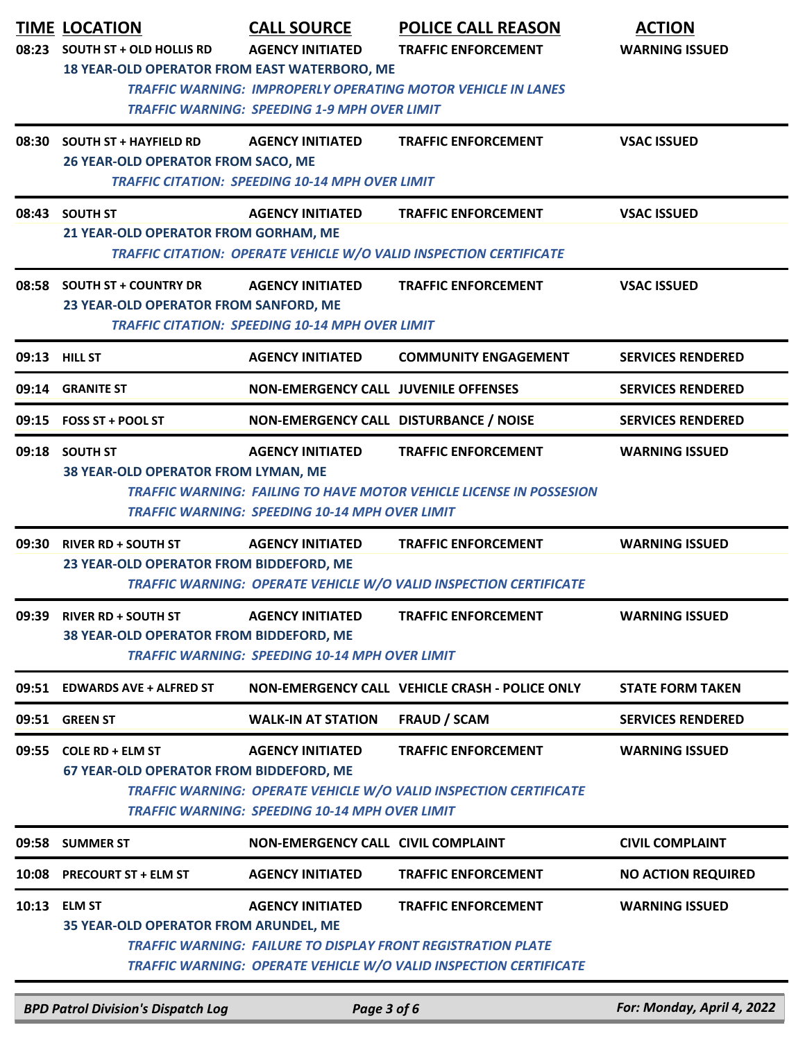| 08:23         | <b>TIME LOCATION</b><br><b>SOUTH ST + OLD HOLLIS RD</b><br>18 YEAR-OLD OPERATOR FROM EAST WATERBORO, ME                                                                                                                                                                        | <b>CALL SOURCE</b><br><b>AGENCY INITIATED</b><br><b>TRAFFIC WARNING: SPEEDING 1-9 MPH OVER LIMIT</b> | <b>POLICE CALL REASON</b><br><b>TRAFFIC ENFORCEMENT</b><br><b>TRAFFIC WARNING: IMPROPERLY OPERATING MOTOR VEHICLE IN LANES</b>                                                | <b>ACTION</b><br><b>WARNING ISSUED</b> |  |
|---------------|--------------------------------------------------------------------------------------------------------------------------------------------------------------------------------------------------------------------------------------------------------------------------------|------------------------------------------------------------------------------------------------------|-------------------------------------------------------------------------------------------------------------------------------------------------------------------------------|----------------------------------------|--|
|               | 08:30 SOUTH ST + HAYFIELD RD<br>26 YEAR-OLD OPERATOR FROM SACO, ME                                                                                                                                                                                                             | <b>AGENCY INITIATED</b><br><b>TRAFFIC CITATION: SPEEDING 10-14 MPH OVER LIMIT</b>                    | <b>TRAFFIC ENFORCEMENT</b>                                                                                                                                                    | <b>VSAC ISSUED</b>                     |  |
|               | 08:43 SOUTH ST<br>21 YEAR-OLD OPERATOR FROM GORHAM, ME                                                                                                                                                                                                                         | <b>AGENCY INITIATED</b>                                                                              | <b>TRAFFIC ENFORCEMENT</b><br>TRAFFIC CITATION: OPERATE VEHICLE W/O VALID INSPECTION CERTIFICATE                                                                              | <b>VSAC ISSUED</b>                     |  |
|               | 08:58 SOUTH ST + COUNTRY DR<br>23 YEAR-OLD OPERATOR FROM SANFORD, ME                                                                                                                                                                                                           | <b>AGENCY INITIATED</b><br><b>TRAFFIC CITATION: SPEEDING 10-14 MPH OVER LIMIT</b>                    | <b>TRAFFIC ENFORCEMENT</b>                                                                                                                                                    | <b>VSAC ISSUED</b>                     |  |
| 09:13 HILL ST |                                                                                                                                                                                                                                                                                | <b>AGENCY INITIATED</b>                                                                              | <b>COMMUNITY ENGAGEMENT</b>                                                                                                                                                   | <b>SERVICES RENDERED</b>               |  |
|               | 09:14 GRANITE ST                                                                                                                                                                                                                                                               | <b>NON-EMERGENCY CALL JUVENILE OFFENSES</b>                                                          |                                                                                                                                                                               | <b>SERVICES RENDERED</b>               |  |
|               | 09:15 FOSS ST + POOL ST                                                                                                                                                                                                                                                        | NON-EMERGENCY CALL DISTURBANCE / NOISE                                                               |                                                                                                                                                                               | <b>SERVICES RENDERED</b>               |  |
|               | 09:18 SOUTH ST<br><b>AGENCY INITIATED</b><br><b>TRAFFIC ENFORCEMENT</b><br><b>WARNING ISSUED</b><br>38 YEAR-OLD OPERATOR FROM LYMAN, ME<br><b>TRAFFIC WARNING: FAILING TO HAVE MOTOR VEHICLE LICENSE IN POSSESION</b><br><b>TRAFFIC WARNING: SPEEDING 10-14 MPH OVER LIMIT</b> |                                                                                                      |                                                                                                                                                                               |                                        |  |
| 09:30         | <b>RIVER RD + SOUTH ST</b><br>23 YEAR-OLD OPERATOR FROM BIDDEFORD, ME                                                                                                                                                                                                          | <b>AGENCY INITIATED</b>                                                                              | <b>TRAFFIC ENFORCEMENT</b><br><b>TRAFFIC WARNING: OPERATE VEHICLE W/O VALID INSPECTION CERTIFICATE</b>                                                                        | <b>WARNING ISSUED</b>                  |  |
| 09:39         | <b>RIVER RD + SOUTH ST</b><br>38 YEAR-OLD OPERATOR FROM BIDDEFORD, ME                                                                                                                                                                                                          | <b>AGENCY INITIATED</b><br><b>TRAFFIC WARNING: SPEEDING 10-14 MPH OVER LIMIT</b>                     | <b>TRAFFIC ENFORCEMENT</b>                                                                                                                                                    | <b>WARNING ISSUED</b>                  |  |
| 09:51         | <b>EDWARDS AVE + ALFRED ST</b>                                                                                                                                                                                                                                                 |                                                                                                      | NON-EMERGENCY CALL VEHICLE CRASH - POLICE ONLY                                                                                                                                | <b>STATE FORM TAKEN</b>                |  |
| 09:51         | <b>GREEN ST</b>                                                                                                                                                                                                                                                                | <b>WALK-IN AT STATION</b>                                                                            | <b>FRAUD / SCAM</b>                                                                                                                                                           | <b>SERVICES RENDERED</b>               |  |
|               | 09:55 COLE RD + ELM ST<br>67 YEAR-OLD OPERATOR FROM BIDDEFORD, ME                                                                                                                                                                                                              | <b>AGENCY INITIATED</b><br><b>TRAFFIC WARNING: SPEEDING 10-14 MPH OVER LIMIT</b>                     | <b>TRAFFIC ENFORCEMENT</b><br>TRAFFIC WARNING: OPERATE VEHICLE W/O VALID INSPECTION CERTIFICATE                                                                               | <b>WARNING ISSUED</b>                  |  |
|               | 09:58 SUMMER ST                                                                                                                                                                                                                                                                | <b>NON-EMERGENCY CALL CIVIL COMPLAINT</b>                                                            |                                                                                                                                                                               | <b>CIVIL COMPLAINT</b>                 |  |
| 10:08         | <b>PRECOURT ST + ELM ST</b>                                                                                                                                                                                                                                                    | <b>AGENCY INITIATED</b>                                                                              | <b>TRAFFIC ENFORCEMENT</b>                                                                                                                                                    | <b>NO ACTION REQUIRED</b>              |  |
| 10:13         | <b>ELM ST</b><br><b>35 YEAR-OLD OPERATOR FROM ARUNDEL, ME</b>                                                                                                                                                                                                                  | <b>AGENCY INITIATED</b>                                                                              | <b>TRAFFIC ENFORCEMENT</b><br><b>TRAFFIC WARNING: FAILURE TO DISPLAY FRONT REGISTRATION PLATE</b><br><b>TRAFFIC WARNING: OPERATE VEHICLE W/O VALID INSPECTION CERTIFICATE</b> | <b>WARNING ISSUED</b>                  |  |

*BPD Patrol Division's Dispatch Log Page 3 of 6 For: Monday, April 4, 2022*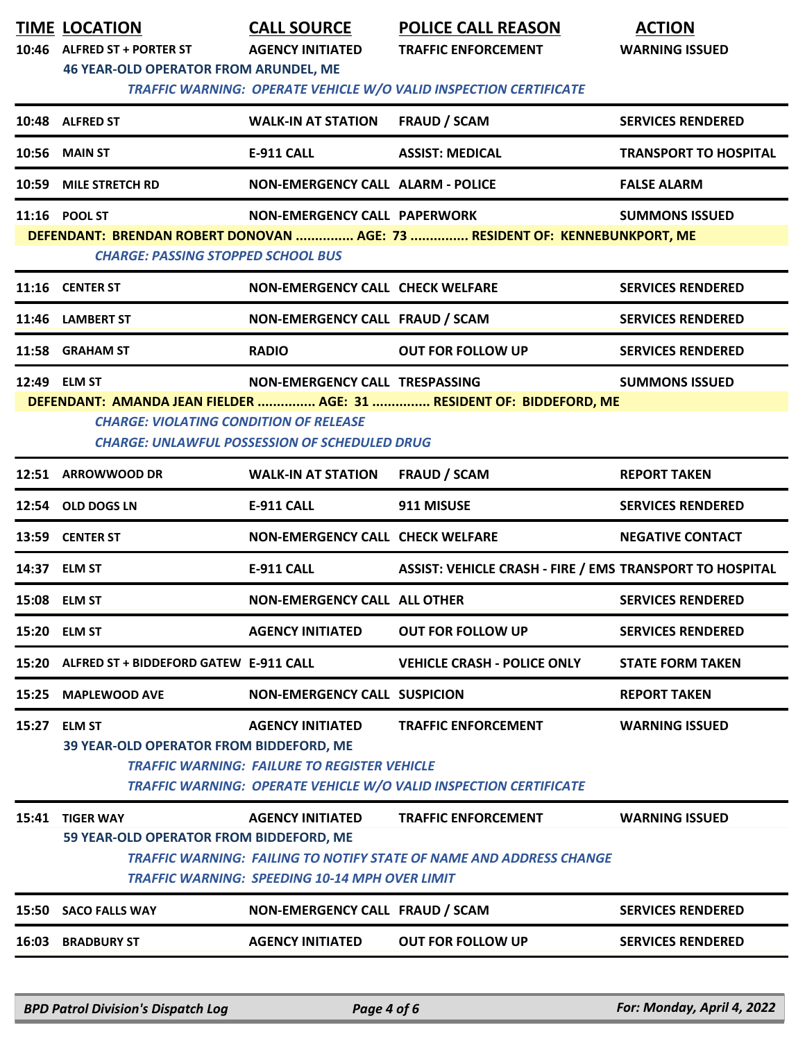|       | <b>TIME LOCATION</b><br>10:46 ALFRED ST + PORTER ST                                                                     | <b>CALL SOURCE</b><br><b>AGENCY INITIATED</b>                                    | <b>POLICE CALL REASON</b><br><b>TRAFFIC ENFORCEMENT</b>                                                  | <b>ACTION</b><br><b>WARNING ISSUED</b> |  |  |  |
|-------|-------------------------------------------------------------------------------------------------------------------------|----------------------------------------------------------------------------------|----------------------------------------------------------------------------------------------------------|----------------------------------------|--|--|--|
|       | <b>46 YEAR-OLD OPERATOR FROM ARUNDEL, ME</b><br>TRAFFIC WARNING: OPERATE VEHICLE W/O VALID INSPECTION CERTIFICATE       |                                                                                  |                                                                                                          |                                        |  |  |  |
|       | 10:48 ALFRED ST                                                                                                         | <b>WALK-IN AT STATION</b>                                                        | <b>FRAUD / SCAM</b>                                                                                      | <b>SERVICES RENDERED</b>               |  |  |  |
| 10:56 | <b>MAIN ST</b>                                                                                                          | <b>E-911 CALL</b>                                                                | <b>ASSIST: MEDICAL</b>                                                                                   | <b>TRANSPORT TO HOSPITAL</b>           |  |  |  |
| 10:59 | <b>MILE STRETCH RD</b>                                                                                                  | <b>NON-EMERGENCY CALL ALARM - POLICE</b>                                         |                                                                                                          | <b>FALSE ALARM</b>                     |  |  |  |
|       | 11:16 POOL ST                                                                                                           | NON-EMERGENCY CALL PAPERWORK                                                     |                                                                                                          | <b>SUMMONS ISSUED</b>                  |  |  |  |
|       | DEFENDANT: BRENDAN ROBERT DONOVAN  AGE: 73  RESIDENT OF: KENNEBUNKPORT, ME<br><b>CHARGE: PASSING STOPPED SCHOOL BUS</b> |                                                                                  |                                                                                                          |                                        |  |  |  |
|       | 11:16 CENTER ST                                                                                                         | <b>NON-EMERGENCY CALL CHECK WELFARE</b>                                          |                                                                                                          | <b>SERVICES RENDERED</b>               |  |  |  |
|       | 11:46 LAMBERT ST                                                                                                        | NON-EMERGENCY CALL FRAUD / SCAM                                                  |                                                                                                          | <b>SERVICES RENDERED</b>               |  |  |  |
|       | 11:58 GRAHAM ST                                                                                                         | <b>RADIO</b>                                                                     | <b>OUT FOR FOLLOW UP</b>                                                                                 | <b>SERVICES RENDERED</b>               |  |  |  |
|       | 12:49 ELM ST                                                                                                            | NON-EMERGENCY CALL TRESPASSING                                                   |                                                                                                          | <b>SUMMONS ISSUED</b>                  |  |  |  |
|       | <b>CHARGE: VIOLATING CONDITION OF RELEASE</b>                                                                           | <b>CHARGE: UNLAWFUL POSSESSION OF SCHEDULED DRUG</b>                             | DEFENDANT: AMANDA JEAN FIELDER  AGE: 31  RESIDENT OF: BIDDEFORD, ME                                      |                                        |  |  |  |
|       | 12:51 ARROWWOOD DR                                                                                                      | <b>WALK-IN AT STATION</b>                                                        | <b>FRAUD / SCAM</b>                                                                                      | <b>REPORT TAKEN</b>                    |  |  |  |
|       | 12:54 OLD DOGS LN                                                                                                       | <b>E-911 CALL</b>                                                                | 911 MISUSE                                                                                               | <b>SERVICES RENDERED</b>               |  |  |  |
|       | 13:59 CENTER ST                                                                                                         | <b>NON-EMERGENCY CALL CHECK WELFARE</b>                                          |                                                                                                          | <b>NEGATIVE CONTACT</b>                |  |  |  |
|       | 14:37 ELM ST                                                                                                            | <b>E-911 CALL</b>                                                                | ASSIST: VEHICLE CRASH - FIRE / EMS TRANSPORT TO HOSPITAL                                                 |                                        |  |  |  |
|       | 15:08 ELM ST                                                                                                            | <b>NON-EMERGENCY CALL ALL OTHER</b>                                              |                                                                                                          | <b>SERVICES RENDERED</b>               |  |  |  |
|       | 15:20 ELM ST                                                                                                            | <b>AGENCY INITIATED</b>                                                          | <b>OUT FOR FOLLOW UP</b>                                                                                 | <b>SERVICES RENDERED</b>               |  |  |  |
| 15:20 | ALFRED ST + BIDDEFORD GATEW E-911 CALL                                                                                  |                                                                                  | <b>VEHICLE CRASH - POLICE ONLY</b>                                                                       | <b>STATE FORM TAKEN</b>                |  |  |  |
| 15:25 | <b>MAPLEWOOD AVE</b>                                                                                                    | <b>NON-EMERGENCY CALL SUSPICION</b>                                              |                                                                                                          | <b>REPORT TAKEN</b>                    |  |  |  |
|       | 15:27 ELM ST<br>39 YEAR-OLD OPERATOR FROM BIDDEFORD, ME                                                                 | <b>AGENCY INITIATED</b><br><b>TRAFFIC WARNING: FAILURE TO REGISTER VEHICLE</b>   | <b>TRAFFIC ENFORCEMENT</b><br><b>TRAFFIC WARNING: OPERATE VEHICLE W/O VALID INSPECTION CERTIFICATE</b>   | <b>WARNING ISSUED</b>                  |  |  |  |
|       | 15:41 TIGER WAY<br>59 YEAR-OLD OPERATOR FROM BIDDEFORD, ME                                                              | <b>AGENCY INITIATED</b><br><b>TRAFFIC WARNING: SPEEDING 10-14 MPH OVER LIMIT</b> | <b>TRAFFIC ENFORCEMENT</b><br><b>TRAFFIC WARNING: FAILING TO NOTIFY STATE OF NAME AND ADDRESS CHANGE</b> | <b>WARNING ISSUED</b>                  |  |  |  |
|       | 15:50 SACO FALLS WAY                                                                                                    | NON-EMERGENCY CALL FRAUD / SCAM                                                  |                                                                                                          | <b>SERVICES RENDERED</b>               |  |  |  |
|       |                                                                                                                         |                                                                                  |                                                                                                          |                                        |  |  |  |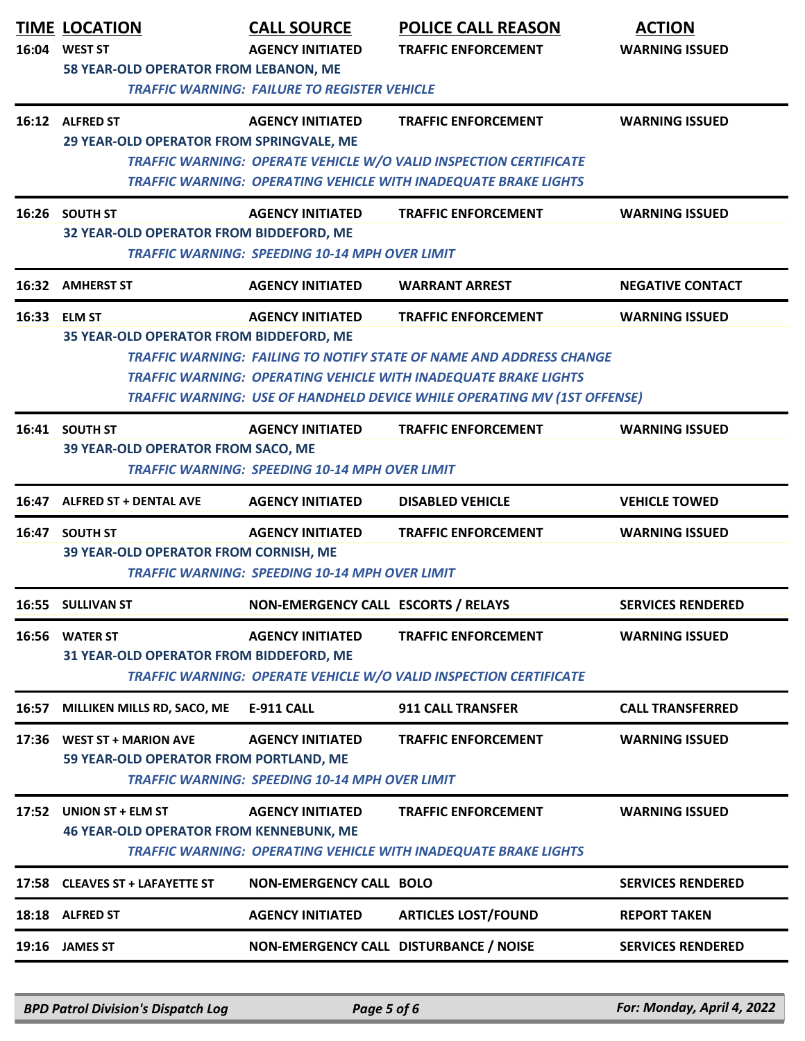|       | <b>TIME LOCATION</b><br>16:04 WEST ST<br>58 YEAR-OLD OPERATOR FROM LEBANON, ME | <b>CALL SOURCE</b><br><b>AGENCY INITIATED</b><br><b>TRAFFIC WARNING: FAILURE TO REGISTER VEHICLE</b> | <b>POLICE CALL REASON</b><br><b>TRAFFIC ENFORCEMENT</b>                                                                                                                                                                                                        | <b>ACTION</b><br><b>WARNING ISSUED</b> |
|-------|--------------------------------------------------------------------------------|------------------------------------------------------------------------------------------------------|----------------------------------------------------------------------------------------------------------------------------------------------------------------------------------------------------------------------------------------------------------------|----------------------------------------|
|       | 16:12 ALFRED ST<br>29 YEAR-OLD OPERATOR FROM SPRINGVALE, ME                    | <b>AGENCY INITIATED</b>                                                                              | <b>TRAFFIC ENFORCEMENT</b><br>TRAFFIC WARNING: OPERATE VEHICLE W/O VALID INSPECTION CERTIFICATE<br><b>TRAFFIC WARNING: OPERATING VEHICLE WITH INADEQUATE BRAKE LIGHTS</b>                                                                                      | <b>WARNING ISSUED</b>                  |
|       | 16:26 SOUTH ST<br>32 YEAR-OLD OPERATOR FROM BIDDEFORD, ME                      | <b>AGENCY INITIATED</b><br><b>TRAFFIC WARNING: SPEEDING 10-14 MPH OVER LIMIT</b>                     | <b>TRAFFIC ENFORCEMENT</b>                                                                                                                                                                                                                                     | <b>WARNING ISSUED</b>                  |
|       | 16:32 AMHERST ST                                                               | <b>AGENCY INITIATED</b>                                                                              | <b>WARRANT ARREST</b>                                                                                                                                                                                                                                          | <b>NEGATIVE CONTACT</b>                |
|       | 16:33 ELM ST<br>35 YEAR-OLD OPERATOR FROM BIDDEFORD, ME                        | <b>AGENCY INITIATED</b>                                                                              | <b>TRAFFIC ENFORCEMENT</b><br><b>TRAFFIC WARNING: FAILING TO NOTIFY STATE OF NAME AND ADDRESS CHANGE</b><br>TRAFFIC WARNING: OPERATING VEHICLE WITH INADEQUATE BRAKE LIGHTS<br><b>TRAFFIC WARNING: USE OF HANDHELD DEVICE WHILE OPERATING MV (1ST OFFENSE)</b> | <b>WARNING ISSUED</b>                  |
|       | 16:41 SOUTH ST<br>39 YEAR-OLD OPERATOR FROM SACO, ME                           | <b>AGENCY INITIATED</b><br><b>TRAFFIC WARNING: SPEEDING 10-14 MPH OVER LIMIT</b>                     | <b>TRAFFIC ENFORCEMENT</b>                                                                                                                                                                                                                                     | <b>WARNING ISSUED</b>                  |
| 16:47 | <b>ALFRED ST + DENTAL AVE</b>                                                  | <b>AGENCY INITIATED</b>                                                                              | <b>DISABLED VEHICLE</b>                                                                                                                                                                                                                                        | <b>VEHICLE TOWED</b>                   |
|       | 16:47 SOUTH ST<br>39 YEAR-OLD OPERATOR FROM CORNISH, ME                        | <b>AGENCY INITIATED</b><br><b>TRAFFIC WARNING: SPEEDING 10-14 MPH OVER LIMIT</b>                     | <b>TRAFFIC ENFORCEMENT</b>                                                                                                                                                                                                                                     | <b>WARNING ISSUED</b>                  |
|       | 16:55 SULLIVAN ST                                                              | NON-EMERGENCY CALL ESCORTS / RELAYS                                                                  |                                                                                                                                                                                                                                                                | <b>SERVICES RENDERED</b>               |
|       | 16:56 WATER ST<br>31 YEAR-OLD OPERATOR FROM BIDDEFORD, ME                      | <b>AGENCY INITIATED</b>                                                                              | <b>TRAFFIC ENFORCEMENT</b><br><b>TRAFFIC WARNING: OPERATE VEHICLE W/O VALID INSPECTION CERTIFICATE</b>                                                                                                                                                         | <b>WARNING ISSUED</b>                  |
| 16:57 | MILLIKEN MILLS RD, SACO, ME                                                    | E-911 CALL                                                                                           | <b>911 CALL TRANSFER</b>                                                                                                                                                                                                                                       | <b>CALL TRANSFERRED</b>                |
| 17:36 | <b>WEST ST + MARION AVE</b><br>59 YEAR-OLD OPERATOR FROM PORTLAND, ME          | <b>AGENCY INITIATED</b><br><b>TRAFFIC WARNING: SPEEDING 10-14 MPH OVER LIMIT</b>                     | <b>TRAFFIC ENFORCEMENT</b>                                                                                                                                                                                                                                     | <b>WARNING ISSUED</b>                  |
| 17:52 | UNION ST + ELM ST<br><b>46 YEAR-OLD OPERATOR FROM KENNEBUNK, ME</b>            | <b>AGENCY INITIATED</b>                                                                              | <b>TRAFFIC ENFORCEMENT</b><br><b>TRAFFIC WARNING: OPERATING VEHICLE WITH INADEQUATE BRAKE LIGHTS</b>                                                                                                                                                           | <b>WARNING ISSUED</b>                  |
|       | 17:58 CLEAVES ST + LAFAYETTE ST                                                | <b>NON-EMERGENCY CALL BOLO</b>                                                                       |                                                                                                                                                                                                                                                                | <b>SERVICES RENDERED</b>               |
|       | 18:18 ALFRED ST                                                                | <b>AGENCY INITIATED</b>                                                                              | <b>ARTICLES LOST/FOUND</b>                                                                                                                                                                                                                                     | <b>REPORT TAKEN</b>                    |
|       |                                                                                |                                                                                                      |                                                                                                                                                                                                                                                                |                                        |